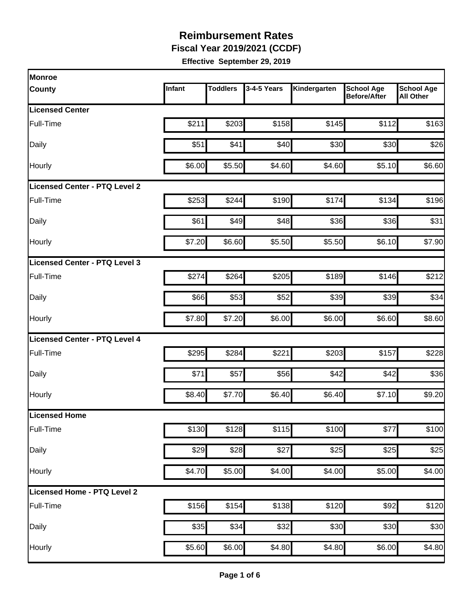**Fiscal Year 2019/2021 (CCDF)** 

| Monroe                               |        |                 |             |              |                                          |                                       |
|--------------------------------------|--------|-----------------|-------------|--------------|------------------------------------------|---------------------------------------|
| <b>County</b>                        | Infant | <b>Toddlers</b> | 3-4-5 Years | Kindergarten | <b>School Age</b><br><b>Before/After</b> | <b>School Age</b><br><b>All Other</b> |
| <b>Licensed Center</b>               |        |                 |             |              |                                          |                                       |
| Full-Time                            | \$211  | \$203           | \$158       | \$145        | \$112                                    | \$163                                 |
| Daily                                | \$51   | \$41]           | \$40        | \$30         | \$30                                     | \$26                                  |
| Hourly                               | \$6.00 | \$5.50          | \$4.60      | \$4.60       | \$5.10                                   | \$6.60                                |
| <b>Licensed Center - PTQ Level 2</b> |        |                 |             |              |                                          |                                       |
| Full-Time                            | \$253  | \$244           | \$190       | \$174        | \$134                                    | \$196                                 |
| Daily                                | \$61   | \$49            | \$48        | \$36         | \$36                                     | \$31                                  |
| Hourly                               | \$7.20 | \$6.60          | \$5.50      | \$5.50       | \$6.10                                   | \$7.90                                |
| Licensed Center - PTQ Level 3        |        |                 |             |              |                                          |                                       |
| Full-Time                            | \$274  | \$264           | \$205       | \$189        | \$146                                    | \$212                                 |
| Daily                                | \$66   | \$53            | \$52        | \$39         | \$39                                     | \$34                                  |
| Hourly                               | \$7.80 | \$7.20          | \$6.00      | \$6.00       | \$6.60                                   | \$8.60                                |
| Licensed Center - PTQ Level 4        |        |                 |             |              |                                          |                                       |
| Full-Time                            | \$295  | \$284           | \$221       | \$203        | \$157                                    | \$228                                 |
| Daily                                | \$71   | \$57            | \$56        | \$42         | \$42                                     | \$36                                  |
| Hourly                               | \$8.40 | \$7.70          | \$6.40      | \$6.40       | \$7.10                                   | \$9.20                                |
| Licensed Home                        |        |                 |             |              |                                          |                                       |
| Full-Time                            | \$130  | \$128           | \$115       | \$100        | \$77                                     | \$100                                 |
| Daily                                | \$29   | \$28            | \$27        | \$25         | \$25                                     | \$25                                  |
| Hourly                               | \$4.70 | \$5.00          | \$4.00      | \$4.00       | \$5.00                                   | \$4.00                                |
| Licensed Home - PTQ Level 2          |        |                 |             |              |                                          |                                       |
| Full-Time                            | \$156  | \$154           | \$138       | \$120        | \$92                                     | \$120                                 |
| Daily                                | \$35   | \$34            | \$32        | \$30         | \$30                                     | \$30                                  |
| Hourly                               | \$5.60 | \$6.00          | \$4.80      | \$4.80       | \$6.00                                   | \$4.80                                |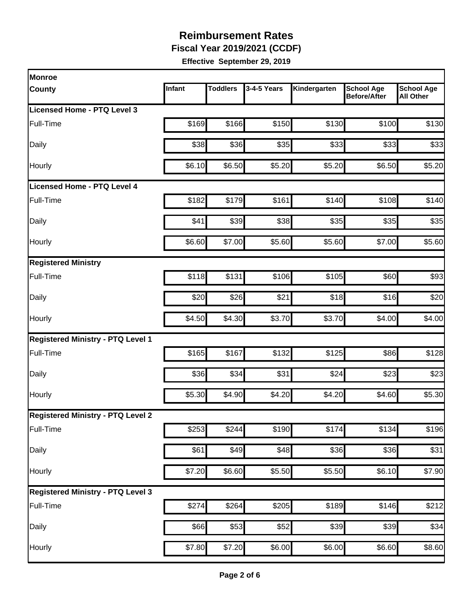**Fiscal Year 2019/2021 (CCDF)** 

| Monroe                                   |        |                 |             |              |                                          |                                       |
|------------------------------------------|--------|-----------------|-------------|--------------|------------------------------------------|---------------------------------------|
| County                                   | Infant | <b>Toddlers</b> | 3-4-5 Years | Kindergarten | <b>School Age</b><br><b>Before/After</b> | <b>School Age</b><br><b>All Other</b> |
| Licensed Home - PTQ Level 3              |        |                 |             |              |                                          |                                       |
| Full-Time                                | \$169  | \$166           | \$150       | \$130        | \$100                                    | \$130                                 |
| Daily                                    | \$38   | \$36            | \$35        | \$33         | \$33                                     | \$33                                  |
| Hourly                                   | \$6.10 | \$6.50          | \$5.20      | \$5.20       | \$6.50                                   | \$5.20                                |
| Licensed Home - PTQ Level 4              |        |                 |             |              |                                          |                                       |
| Full-Time                                | \$182  | \$179           | \$161       | \$140        | \$108                                    | \$140                                 |
| Daily                                    | \$41   | \$39            | \$38        | \$35         | \$35                                     | \$35                                  |
| Hourly                                   | \$6.60 | \$7.00          | \$5.60      | \$5.60       | \$7.00                                   | \$5.60                                |
| <b>Registered Ministry</b>               |        |                 |             |              |                                          |                                       |
| Full-Time                                | \$118  | \$131           | \$106       | \$105        | \$60                                     | \$93                                  |
| Daily                                    | \$20   | \$26            | \$21        | \$18]        | \$16                                     | \$20                                  |
| Hourly                                   | \$4.50 | \$4.30          | \$3.70      | \$3.70       | \$4.00                                   | \$4.00                                |
| <b>Registered Ministry - PTQ Level 1</b> |        |                 |             |              |                                          |                                       |
| Full-Time                                | \$165  | \$167           | \$132       | \$125        | \$86                                     | \$128                                 |
| Daily                                    | \$36   | \$34            | \$31        | \$24         | \$23                                     | \$23                                  |
| Hourly                                   | \$5.30 | \$4.90          | \$4.20      | \$4.20       | \$4.60                                   | \$5.30                                |
| <b>Registered Ministry - PTQ Level 2</b> |        |                 |             |              |                                          |                                       |
| Full-Time                                | \$253  | \$244           | \$190       | \$174        | \$134                                    | \$196                                 |
| Daily                                    | \$61   | \$49            | \$48        | \$36         | \$36                                     | \$31                                  |
| Hourly                                   | \$7.20 | \$6.60          | \$5.50      | \$5.50       | \$6.10                                   | \$7.90                                |
| <b>Registered Ministry - PTQ Level 3</b> |        |                 |             |              |                                          |                                       |
| Full-Time                                | \$274  | \$264           | \$205       | \$189        | \$146                                    | \$212                                 |
| Daily                                    | \$66   | \$53            | \$52        | \$39         | \$39                                     | \$34                                  |
| Hourly                                   | \$7.80 | \$7.20          | \$6.00      | \$6.00       | \$6.60                                   | \$8.60                                |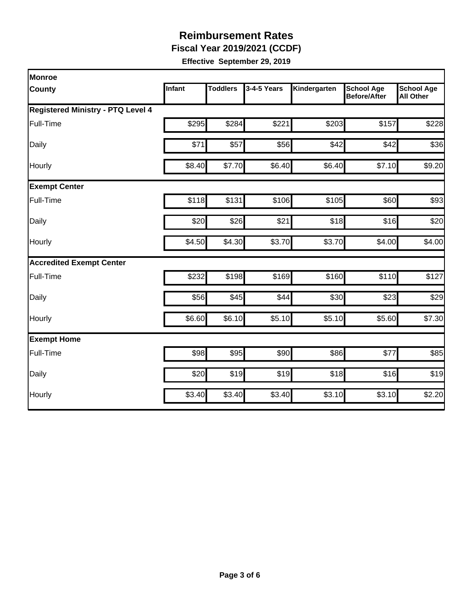**Fiscal Year 2019/2021 (CCDF)** 

| <b>Monroe</b>                     |               |                 |             |              |                                          |                                       |
|-----------------------------------|---------------|-----------------|-------------|--------------|------------------------------------------|---------------------------------------|
| County                            | <b>Infant</b> | <b>Toddlers</b> | 3-4-5 Years | Kindergarten | <b>School Age</b><br><b>Before/After</b> | <b>School Age</b><br><b>All Other</b> |
| Registered Ministry - PTQ Level 4 |               |                 |             |              |                                          |                                       |
| Full-Time                         | \$295         | \$284           | \$221       | \$203        | \$157                                    | \$228                                 |
| Daily                             | \$71          | \$57            | \$56        | \$42         | \$42                                     | \$36                                  |
| Hourly                            | \$8.40        | \$7.70          | \$6.40      | \$6.40       | \$7.10                                   | \$9.20                                |
| <b>Exempt Center</b>              |               |                 |             |              |                                          |                                       |
| Full-Time                         | \$118         | \$131           | \$106       | \$105        | \$60                                     | \$93                                  |
| Daily                             | \$20          | \$26            | \$21        | \$18         | \$16                                     | \$20                                  |
| Hourly                            | \$4.50        | \$4.30          | \$3.70      | \$3.70       | \$4.00                                   | \$4.00                                |
| <b>Accredited Exempt Center</b>   |               |                 |             |              |                                          |                                       |
| Full-Time                         | \$232         | \$198           | \$169       | \$160        | \$110                                    | \$127                                 |
| Daily                             | \$56          | \$45            | \$44        | \$30         | \$23                                     | \$29                                  |
| Hourly                            | \$6.60        | \$6.10          | \$5.10      | \$5.10       | \$5.60                                   | \$7.30                                |
| <b>Exempt Home</b>                |               |                 |             |              |                                          |                                       |
| Full-Time                         | \$98          | \$95            | \$90        | \$86         | \$77                                     | \$85                                  |
| Daily                             | \$20          | \$19            | \$19        | \$18         | \$16                                     | \$19                                  |
| Hourly                            | \$3.40        | \$3.40          | \$3.40      | \$3.10       | \$3.10                                   | \$2.20                                |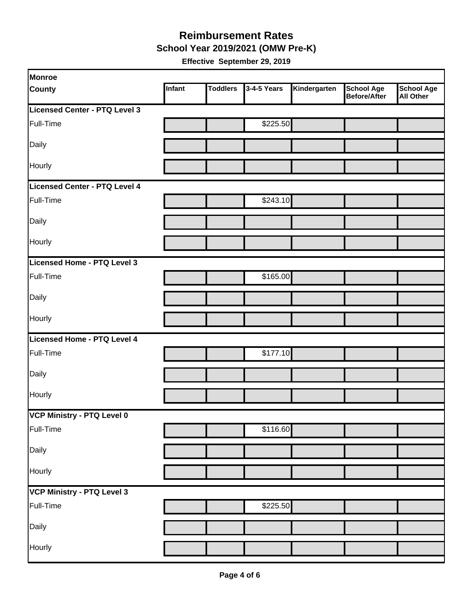**School Year 2019/2021 (OMW Pre-K)** 

| Monroe                        |        |                 |             |              |                                   |                         |
|-------------------------------|--------|-----------------|-------------|--------------|-----------------------------------|-------------------------|
| <b>County</b>                 | Infant | <b>Toddlers</b> | 3-4-5 Years | Kindergarten | <b>School Age</b><br>Before/After | School Age<br>All Other |
| Licensed Center - PTQ Level 3 |        |                 |             |              |                                   |                         |
| Full-Time                     |        |                 | \$225.50    |              |                                   |                         |
| Daily                         |        |                 |             |              |                                   |                         |
| Hourly                        |        |                 |             |              |                                   |                         |
| Licensed Center - PTQ Level 4 |        |                 |             |              |                                   |                         |
| Full-Time                     |        |                 | \$243.10    |              |                                   |                         |
| Daily                         |        |                 |             |              |                                   |                         |
| Hourly                        |        |                 |             |              |                                   |                         |
| Licensed Home - PTQ Level 3   |        |                 |             |              |                                   |                         |
| Full-Time                     |        |                 | \$165.00    |              |                                   |                         |
| Daily                         |        |                 |             |              |                                   |                         |
| Hourly                        |        |                 |             |              |                                   |                         |
| Licensed Home - PTQ Level 4   |        |                 |             |              |                                   |                         |
| Full-Time                     |        |                 | \$177.10    |              |                                   |                         |
| Daily                         |        |                 |             |              |                                   |                         |
| Hourly                        |        |                 |             |              |                                   |                         |
| VCP Ministry - PTQ Level 0    |        |                 |             |              |                                   |                         |
| Full-Time                     |        |                 | \$116.60    |              |                                   |                         |
| Daily                         |        |                 |             |              |                                   |                         |
| Hourly                        |        |                 |             |              |                                   |                         |
| VCP Ministry - PTQ Level 3    |        |                 |             |              |                                   |                         |
| Full-Time                     |        |                 | \$225.50    |              |                                   |                         |
| Daily                         |        |                 |             |              |                                   |                         |
| Hourly                        |        |                 |             |              |                                   |                         |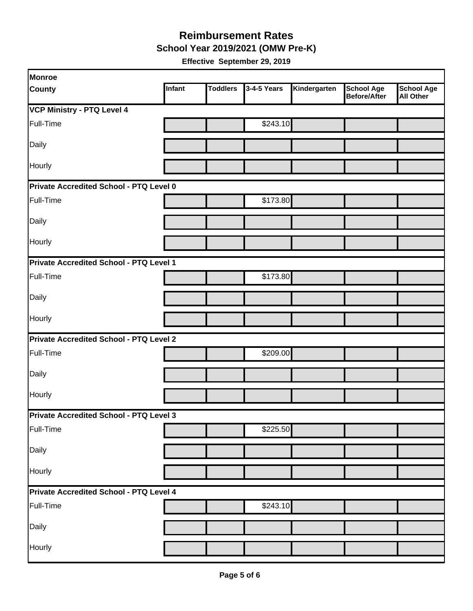**School Year 2019/2021 (OMW Pre-K)** 

| Monroe                                  |                                                |                 |             |              |                                          |                                       |  |  |  |
|-----------------------------------------|------------------------------------------------|-----------------|-------------|--------------|------------------------------------------|---------------------------------------|--|--|--|
| <b>County</b>                           | Infant                                         | <b>Toddlers</b> | 3-4-5 Years | Kindergarten | <b>School Age</b><br><b>Before/After</b> | <b>School Age</b><br><b>All Other</b> |  |  |  |
| <b>VCP Ministry - PTQ Level 4</b>       |                                                |                 |             |              |                                          |                                       |  |  |  |
| Full-Time                               |                                                |                 | \$243.10    |              |                                          |                                       |  |  |  |
| Daily                                   |                                                |                 |             |              |                                          |                                       |  |  |  |
| Hourly                                  |                                                |                 |             |              |                                          |                                       |  |  |  |
| Private Accredited School - PTQ Level 0 |                                                |                 |             |              |                                          |                                       |  |  |  |
| Full-Time                               |                                                |                 | \$173.80    |              |                                          |                                       |  |  |  |
| Daily                                   |                                                |                 |             |              |                                          |                                       |  |  |  |
| Hourly                                  |                                                |                 |             |              |                                          |                                       |  |  |  |
| Private Accredited School - PTQ Level 1 |                                                |                 |             |              |                                          |                                       |  |  |  |
| Full-Time                               |                                                |                 | \$173.80    |              |                                          |                                       |  |  |  |
| Daily                                   |                                                |                 |             |              |                                          |                                       |  |  |  |
| Hourly                                  |                                                |                 |             |              |                                          |                                       |  |  |  |
|                                         | <b>Private Accredited School - PTQ Level 2</b> |                 |             |              |                                          |                                       |  |  |  |
| Full-Time                               |                                                |                 | \$209.00    |              |                                          |                                       |  |  |  |
| Daily                                   |                                                |                 |             |              |                                          |                                       |  |  |  |
| Hourly                                  |                                                |                 |             |              |                                          |                                       |  |  |  |
| Private Accredited School - PTQ Level 3 |                                                |                 |             |              |                                          |                                       |  |  |  |
| Full-Time                               |                                                |                 | \$225.50    |              |                                          |                                       |  |  |  |
| Daily                                   |                                                |                 |             |              |                                          |                                       |  |  |  |
| Hourly                                  |                                                |                 |             |              |                                          |                                       |  |  |  |
| Private Accredited School - PTQ Level 4 |                                                |                 |             |              |                                          |                                       |  |  |  |
| Full-Time                               |                                                |                 | \$243.10    |              |                                          |                                       |  |  |  |
| Daily                                   |                                                |                 |             |              |                                          |                                       |  |  |  |
| Hourly                                  |                                                |                 |             |              |                                          |                                       |  |  |  |